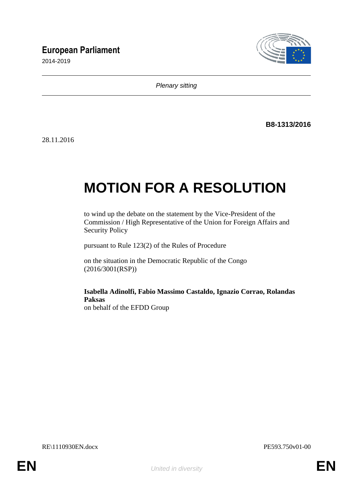## **European Parliament**

2014-2019



*Plenary sitting*

**B8-1313/2016**

28.11.2016

# **MOTION FOR A RESOLUTION**

to wind up the debate on the statement by the Vice-President of the Commission / High Representative of the Union for Foreign Affairs and Security Policy

pursuant to Rule 123(2) of the Rules of Procedure

on the situation in the Democratic Republic of the Congo (2016/3001(RSP))

**Isabella Adinolfi, Fabio Massimo Castaldo, Ignazio Corrao, Rolandas Paksas** on behalf of the EFDD Group

RE\1110930EN.docx PE593.750v01-00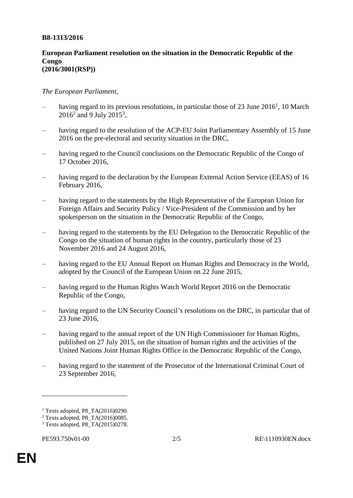#### **B8-1313/2016**

#### **European Parliament resolution on the situation in the Democratic Republic of the Congo (2016/3001(RSP))**

### *The European Parliament*,

- having regard to its previous resolutions, in particular those of 23 June 2016<sup>1</sup>, 10 March  $2016^2$  and 9 July  $2015^3$ ,
- having regard to the resolution of the ACP-EU Joint Parliamentary Assembly of 15 June 2016 on the pre-electoral and security situation in the DRC,
- having regard to the Council conclusions on the Democratic Republic of the Congo of 17 October 2016,
- having regard to the declaration by the European External Action Service (EEAS) of 16 February 2016,
- having regard to the statements by the High Representative of the European Union for Foreign Affairs and Security Policy / Vice-President of the Commission and by her spokesperson on the situation in the Democratic Republic of the Congo,
- having regard to the statements by the EU Delegation to the Democratic Republic of the Congo on the situation of human rights in the country, particularly those of 23 November 2016 and 24 August 2016,
- having regard to the EU Annual Report on Human Rights and Democracy in the World, adopted by the Council of the European Union on 22 June 2015,
- having regard to the Human Rights Watch World Report 2016 on the Democratic Republic of the Congo,
- having regard to the UN Security Council's resolutions on the DRC, in particular that of 23 June 2016,
- having regard to the annual report of the UN High Commissioner for Human Rights, published on 27 July 2015, on the situation of human rights and the activities of the United Nations Joint Human Rights Office in the Democratic Republic of the Congo,
- having regard to the statement of the Prosecutor of the International Criminal Court of 23 September 2016,

 $\overline{a}$ 

<sup>1</sup> Texts adopted, P8\_TA(2016)0290.

 $2$  Texts adopted, P8 TA(2016)0085.

<sup>3</sup> Texts adopted, P8\_TA(2015)0278.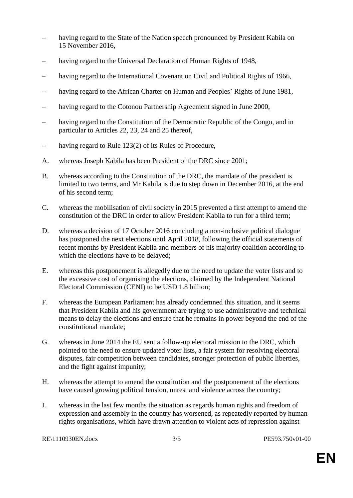- having regard to the State of the Nation speech pronounced by President Kabila on 15 November 2016,
- having regard to the Universal Declaration of Human Rights of 1948,
- having regard to the International Covenant on Civil and Political Rights of 1966,
- having regard to the African Charter on Human and Peoples' Rights of June 1981,
- having regard to the Cotonou Partnership Agreement signed in June 2000,
- having regard to the Constitution of the Democratic Republic of the Congo, and in particular to Articles 22, 23, 24 and 25 thereof,
- having regard to Rule 123(2) of its Rules of Procedure,
- A. whereas Joseph Kabila has been President of the DRC since 2001;
- B. whereas according to the Constitution of the DRC, the mandate of the president is limited to two terms, and Mr Kabila is due to step down in December 2016, at the end of his second term;
- C. whereas the mobilisation of civil society in 2015 prevented a first attempt to amend the constitution of the DRC in order to allow President Kabila to run for a third term;
- D. whereas a decision of 17 October 2016 concluding a non-inclusive political dialogue has postponed the next elections until April 2018, following the official statements of recent months by President Kabila and members of his majority coalition according to which the elections have to be delayed;
- E. whereas this postponement is allegedly due to the need to update the voter lists and to the excessive cost of organising the elections, claimed by the Independent National Electoral Commission (CENI) to be USD 1.8 billion;
- F. whereas the European Parliament has already condemned this situation, and it seems that President Kabila and his government are trying to use administrative and technical means to delay the elections and ensure that he remains in power beyond the end of the constitutional mandate;
- G. whereas in June 2014 the EU sent a follow-up electoral mission to the DRC, which pointed to the need to ensure updated voter lists, a fair system for resolving electoral disputes, fair competition between candidates, stronger protection of public liberties, and the fight against impunity;
- H. whereas the attempt to amend the constitution and the postponement of the elections have caused growing political tension, unrest and violence across the country;
- I. whereas in the last few months the situation as regards human rights and freedom of expression and assembly in the country has worsened, as repeatedly reported by human rights organisations, which have drawn attention to violent acts of repression against

RE\1110930EN.docx 3/5 PE593.750v01-00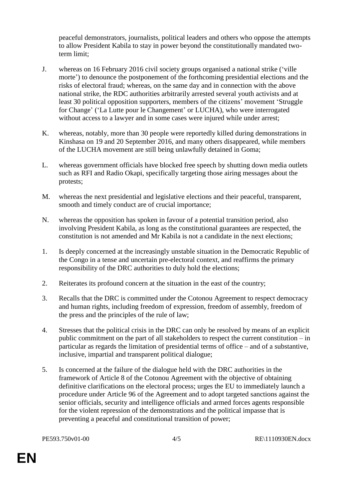peaceful demonstrators, journalists, political leaders and others who oppose the attempts to allow President Kabila to stay in power beyond the constitutionally mandated twoterm limit;

- J. whereas on 16 February 2016 civil society groups organised a national strike ('ville morte') to denounce the postponement of the forthcoming presidential elections and the risks of electoral fraud; whereas, on the same day and in connection with the above national strike, the RDC authorities arbitrarily arrested several youth activists and at least 30 political opposition supporters, members of the citizens' movement 'Struggle for Change' ('La Lutte pour le Changement' or LUCHA), who were interrogated without access to a lawyer and in some cases were injured while under arrest;
- K. whereas, notably, more than 30 people were reportedly killed during demonstrations in Kinshasa on 19 and 20 September 2016, and many others disappeared, while members of the LUCHA movement are still being unlawfully detained in Goma;
- L. whereas government officials have blocked free speech by shutting down media outlets such as RFI and Radio Okapi, specifically targeting those airing messages about the protests;
- M. whereas the next presidential and legislative elections and their peaceful, transparent, smooth and timely conduct are of crucial importance;
- N. whereas the opposition has spoken in favour of a potential transition period, also involving President Kabila, as long as the constitutional guarantees are respected, the constitution is not amended and Mr Kabila is not a candidate in the next elections;
- 1. Is deeply concerned at the increasingly unstable situation in the Democratic Republic of the Congo in a tense and uncertain pre-electoral context, and reaffirms the primary responsibility of the DRC authorities to duly hold the elections;
- 2. Reiterates its profound concern at the situation in the east of the country;
- 3. Recalls that the DRC is committed under the Cotonou Agreement to respect democracy and human rights, including freedom of expression, freedom of assembly, freedom of the press and the principles of the rule of law;
- 4. Stresses that the political crisis in the DRC can only be resolved by means of an explicit public commitment on the part of all stakeholders to respect the current constitution – in particular as regards the limitation of presidential terms of office – and of a substantive, inclusive, impartial and transparent political dialogue;
- 5. Is concerned at the failure of the dialogue held with the DRC authorities in the framework of Article 8 of the Cotonou Agreement with the objective of obtaining definitive clarifications on the electoral process; urges the EU to immediately launch a procedure under Article 96 of the Agreement and to adopt targeted sanctions against the senior officials, security and intelligence officials and armed forces agents responsible for the violent repression of the demonstrations and the political impasse that is preventing a peaceful and constitutional transition of power;